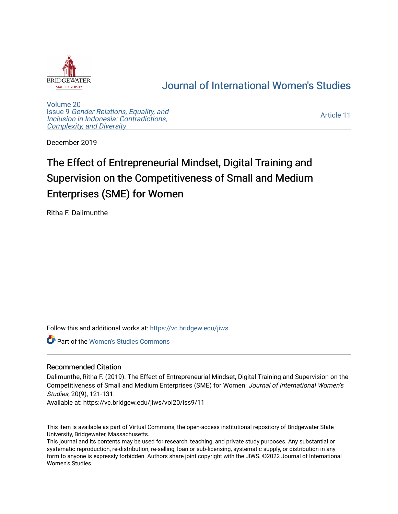

## [Journal of International Women's Studies](https://vc.bridgew.edu/jiws)

[Volume 20](https://vc.bridgew.edu/jiws/vol20) Issue 9 [Gender Relations, Equality, and](https://vc.bridgew.edu/jiws/vol20/iss9) [Inclusion in Indonesia: Contradictions,](https://vc.bridgew.edu/jiws/vol20/iss9) [Complexity, and Diversity](https://vc.bridgew.edu/jiws/vol20/iss9) 

[Article 11](https://vc.bridgew.edu/jiws/vol20/iss9/11) 

December 2019

# The Effect of Entrepreneurial Mindset, Digital Training and Supervision on the Competitiveness of Small and Medium Enterprises (SME) for Women

Ritha F. Dalimunthe

Follow this and additional works at: [https://vc.bridgew.edu/jiws](https://vc.bridgew.edu/jiws?utm_source=vc.bridgew.edu%2Fjiws%2Fvol20%2Fiss9%2F11&utm_medium=PDF&utm_campaign=PDFCoverPages)

Part of the [Women's Studies Commons](http://network.bepress.com/hgg/discipline/561?utm_source=vc.bridgew.edu%2Fjiws%2Fvol20%2Fiss9%2F11&utm_medium=PDF&utm_campaign=PDFCoverPages) 

#### Recommended Citation

Dalimunthe, Ritha F. (2019). The Effect of Entrepreneurial Mindset, Digital Training and Supervision on the Competitiveness of Small and Medium Enterprises (SME) for Women. Journal of International Women's Studies, 20(9), 121-131.

Available at: https://vc.bridgew.edu/jiws/vol20/iss9/11

This item is available as part of Virtual Commons, the open-access institutional repository of Bridgewater State University, Bridgewater, Massachusetts.

This journal and its contents may be used for research, teaching, and private study purposes. Any substantial or systematic reproduction, re-distribution, re-selling, loan or sub-licensing, systematic supply, or distribution in any form to anyone is expressly forbidden. Authors share joint copyright with the JIWS. ©2022 Journal of International Women's Studies.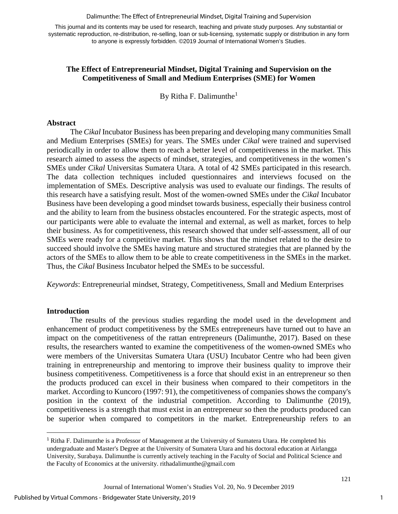#### Dalimunthe: The Effect of Entrepreneurial Mindset, Digital Training and Supervision

This journal and its contents may be used for research, teaching and private study purposes. Any substantial or systematic reproduction, re-distribution, re-selling, loan or sub-licensing, systematic supply or distribution in any form to anyone is expressly forbidden. ©2019 Journal of International Women's Studies.

## **The Effect of Entrepreneurial Mindset, Digital Training and Supervision on the Competitiveness of Small and Medium Enterprises (SME) for Women**

By Ritha F. Dalimunthe<sup>[1](#page-1-0)</sup>

#### **Abstract**

The *Cikal* Incubator Business has been preparing and developing many communities Small and Medium Enterprises (SMEs) for years. The SMEs under *Cikal* were trained and supervised periodically in order to allow them to reach a better level of competitiveness in the market. This research aimed to assess the aspects of mindset, strategies, and competitiveness in the women's SMEs under *Cikal* Universitas Sumatera Utara. A total of 42 SMEs participated in this research. The data collection techniques included questionnaires and interviews focused on the implementation of SMEs. Descriptive analysis was used to evaluate our findings. The results of this research have a satisfying result. Most of the women-owned SMEs under the *Cikal* Incubator Business have been developing a good mindset towards business, especially their business control and the ability to learn from the business obstacles encountered. For the strategic aspects, most of our participants were able to evaluate the internal and external, as well as market, forces to help their business. As for competitiveness, this research showed that under self-assessment, all of our SMEs were ready for a competitive market. This shows that the mindset related to the desire to succeed should involve the SMEs having mature and structured strategies that are planned by the actors of the SMEs to allow them to be able to create competitiveness in the SMEs in the market. Thus, the *Cikal* Business Incubator helped the SMEs to be successful.

*Keywords*: Entrepreneurial mindset, Strategy, Competitiveness, Small and Medium Enterprises

## **Introduction**

l

The results of the previous studies regarding the model used in the development and enhancement of product competitiveness by the SMEs entrepreneurs have turned out to have an impact on the competitiveness of the rattan entrepreneurs (Dalimunthe, 2017). Based on these results, the researchers wanted to examine the competitiveness of the women-owned SMEs who were members of the Universitas Sumatera Utara (USU) Incubator Centre who had been given training in entrepreneurship and mentoring to improve their business quality to improve their business competitiveness. Competitiveness is a force that should exist in an entrepreneur so then the products produced can excel in their business when compared to their competitors in the market. According to Kuncoro (1997: 91), the competitiveness of companies shows the company's position in the context of the industrial competition. According to Dalimunthe (2019), competitiveness is a strength that must exist in an entrepreneur so then the products produced can be superior when compared to competitors in the market. Entrepreneurship refers to an

1

<span id="page-1-0"></span><sup>1</sup> Ritha F. Dalimunthe is a Professor of Management at the University of Sumatera Utara. He completed his undergraduate and Master's Degree at the University of Sumatera Utara and his doctoral education at Airlangga University, Surabaya. Dalimunthe is currently actively teaching in the Faculty of Social and Political Science and the Faculty of Economics at the university. rithadalimunthe@gmail.com

Journal of International Women's Studies Vol. 20, No. 9 December 2019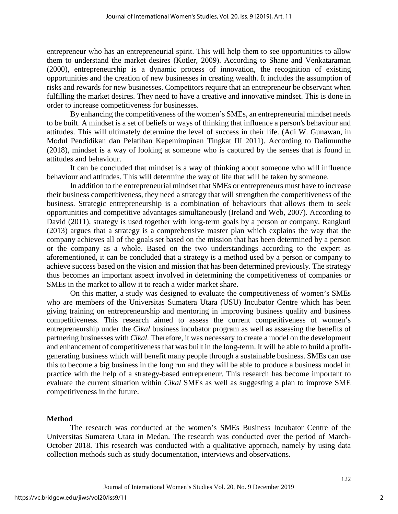entrepreneur who has an entrepreneurial spirit. This will help them to see opportunities to allow them to understand the market desires (Kotler, 2009). According to Shane and Venkataraman (2000), entrepreneurship is a dynamic process of innovation, the recognition of existing opportunities and the creation of new businesses in creating wealth. It includes the assumption of risks and rewards for new businesses. Competitors require that an entrepreneur be observant when fulfilling the market desires. They need to have a creative and innovative mindset. This is done in order to increase competitiveness for businesses.

By enhancing the competitiveness of the women's SMEs, an entrepreneurial mindset needs to be built. A mindset is a set of beliefs or ways of thinking that influence a person's behaviour and attitudes. This will ultimately determine the level of success in their life. (Adi W. Gunawan, in Modul Pendidikan dan Pelatihan Kepemimpinan Tingkat III 2011). According to Dalimunthe (2018), mindset is a way of looking at someone who is captured by the senses that is found in attitudes and behaviour.

It can be concluded that mindset is a way of thinking about someone who will influence behaviour and attitudes. This will determine the way of life that will be taken by someone.

In addition to the entrepreneurial mindset that SMEs or entrepreneurs must have to increase their business competitiveness, they need a strategy that will strengthen the competitiveness of the business. Strategic entrepreneurship is a combination of behaviours that allows them to seek opportunities and competitive advantages simultaneously (Ireland and Web, 2007). According to David (2011), strategy is used together with long-term goals by a person or company. Rangkuti (2013) argues that a strategy is a comprehensive master plan which explains the way that the company achieves all of the goals set based on the mission that has been determined by a person or the company as a whole. Based on the two understandings according to the expert as aforementioned, it can be concluded that a strategy is a method used by a person or company to achieve success based on the vision and mission that has been determined previously. The strategy thus becomes an important aspect involved in determining the competitiveness of companies or SMEs in the market to allow it to reach a wider market share.

On this matter, a study was designed to evaluate the competitiveness of women's SMEs who are members of the Universitas Sumatera Utara (USU) Incubator Centre which has been giving training on entrepreneurship and mentoring in improving business quality and business competitiveness. This research aimed to assess the current competitiveness of women's entrepreneurship under the *Cikal* business incubator program as well as assessing the benefits of partnering businesses with *Cikal.* Therefore, it was necessary to create a model on the development and enhancement of competitiveness that was built in the long-term. It will be able to build a profitgenerating business which will benefit many people through a sustainable business. SMEs can use this to become a big business in the long run and they will be able to produce a business model in practice with the help of a strategy-based entrepreneur. This research has become important to evaluate the current situation within *Cikal* SMEs as well as suggesting a plan to improve SME competitiveness in the future.

#### **Method**

The research was conducted at the women's SMEs Business Incubator Centre of the Universitas Sumatera Utara in Medan. The research was conducted over the period of March-October 2018. This research was conducted with a qualitative approach, namely by using data collection methods such as study documentation, interviews and observations.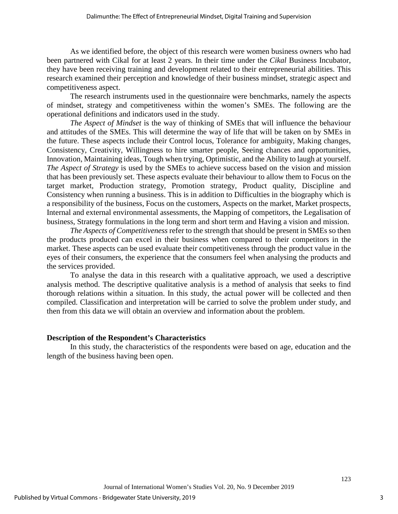As we identified before, the object of this research were women business owners who had been partnered with Cikal for at least 2 years. In their time under the *Cikal* Business Incubator, they have been receiving training and development related to their entrepreneurial abilities. This research examined their perception and knowledge of their business mindset, strategic aspect and competitiveness aspect.

The research instruments used in the questionnaire were benchmarks, namely the aspects of mindset, strategy and competitiveness within the women's SMEs. The following are the operational definitions and indicators used in the study.

*The Aspect of Mindset* is the way of thinking of SMEs that will influence the behaviour and attitudes of the SMEs. This will determine the way of life that will be taken on by SMEs in the future. These aspects include their Control locus, Tolerance for ambiguity, Making changes, Consistency, Creativity, Willingness to hire smarter people, Seeing chances and opportunities, Innovation, Maintaining ideas, Tough when trying, Optimistic, and the Ability to laugh at yourself. *The Aspect of Strategy* is used by the SMEs to achieve success based on the vision and mission that has been previously set. These aspects evaluate their behaviour to allow them to Focus on the target market, Production strategy, Promotion strategy, Product quality, Discipline and Consistency when running a business. This is in addition to Difficulties in the biography which is a responsibility of the business, Focus on the customers, Aspects on the market, Market prospects, Internal and external environmental assessments, the Mapping of competitors, the Legalisation of business, Strategy formulations in the long term and short term and Having a vision and mission.

*The Aspects of Competitiveness* refer to the strength that should be present in SMEs so then the products produced can excel in their business when compared to their competitors in the market. These aspects can be used evaluate their competitiveness through the product value in the eyes of their consumers, the experience that the consumers feel when analysing the products and the services provided.

To analyse the data in this research with a qualitative approach, we used a descriptive analysis method. The descriptive qualitative analysis is a method of analysis that seeks to find thorough relations within a situation. In this study, the actual power will be collected and then compiled. Classification and interpretation will be carried to solve the problem under study, and then from this data we will obtain an overview and information about the problem.

## **Description of the Respondent's Characteristics**

In this study, the characteristics of the respondents were based on age, education and the length of the business having been open.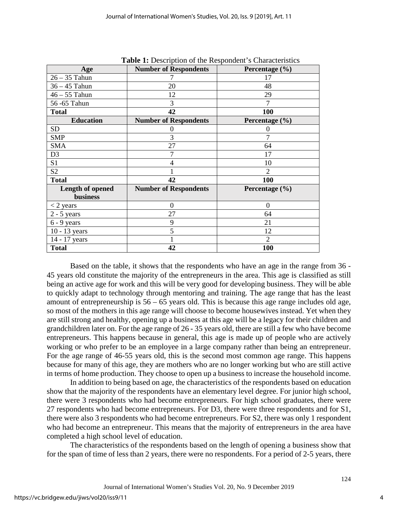| Age                          | <b>Number of Respondents</b> | Percentage (%) |
|------------------------------|------------------------------|----------------|
| $26 - 35$ Tahun              |                              | 17             |
| $36 - 45$ Tahun              | 20                           | 48             |
| $46 - 55$ Tahun              | 12                           | 29             |
| 56-65 Tahun                  | 3                            | 7              |
| <b>Total</b>                 | 42                           | 100            |
| <b>Education</b>             | <b>Number of Respondents</b> | Percentage (%) |
| <b>SD</b>                    | 0                            | 0              |
| <b>SMP</b>                   | 3                            | 7              |
| <b>SMA</b>                   | 27                           | 64             |
| D <sub>3</sub>               | 7                            | 17             |
| S1                           | 4                            | 10             |
| S <sub>2</sub>               |                              | $\overline{2}$ |
| <b>Total</b>                 | 42                           | 100            |
| Length of opened<br>business | <b>Number of Respondents</b> | Percentage (%) |
| $<$ 2 years                  | $\overline{0}$               | $\theta$       |
| $2 - 5$ years                | 27                           | 64             |
| $6 - 9$ years                | 9                            | 21             |
| $10 - 13$ years              | 5                            | 12             |
| 14 - 17 years                |                              | $\overline{2}$ |
| <b>Total</b>                 | 42                           | 100            |

**Table 1:** Description of the Respondent's Characteristics

Based on the table, it shows that the respondents who have an age in the range from 36 - 45 years old constitute the majority of the entrepreneurs in the area. This age is classified as still being an active age for work and this will be very good for developing business. They will be able to quickly adapt to technology through mentoring and training. The age range that has the least amount of entrepreneurship is 56 – 65 years old. This is because this age range includes old age, so most of the mothers in this age range will choose to become housewives instead. Yet when they are still strong and healthy, opening up a business at this age will be a legacy for their children and grandchildren later on. For the age range of 26 - 35 years old, there are still a few who have become entrepreneurs. This happens because in general, this age is made up of people who are actively working or who prefer to be an employee in a large company rather than being an entrepreneur. For the age range of 46-55 years old, this is the second most common age range. This happens because for many of this age, they are mothers who are no longer working but who are still active in terms of home production. They choose to open up a business to increase the household income.

In addition to being based on age, the characteristics of the respondents based on education show that the majority of the respondents have an elementary level degree. For junior high school, there were 3 respondents who had become entrepreneurs. For high school graduates, there were 27 respondents who had become entrepreneurs. For D3, there were three respondents and for S1, there were also 3 respondents who had become entrepreneurs. For S2, there was only 1 respondent who had become an entrepreneur. This means that the majority of entrepreneurs in the area have completed a high school level of education.

The characteristics of the respondents based on the length of opening a business show that for the span of time of less than 2 years, there were no respondents. For a period of 2-5 years, there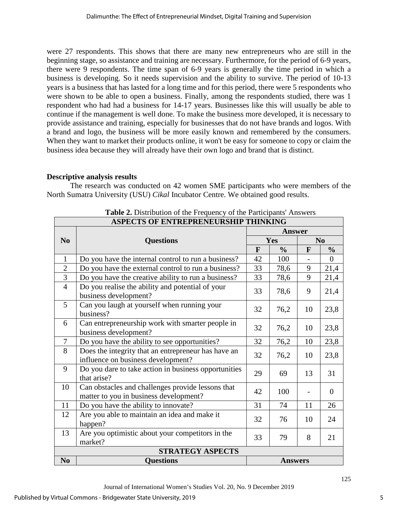were 27 respondents. This shows that there are many new entrepreneurs who are still in the beginning stage, so assistance and training are necessary. Furthermore, for the period of 6-9 years, there were 9 respondents. The time span of 6-9 years is generally the time period in which a business is developing. So it needs supervision and the ability to survive. The period of 10-13 years is a business that has lasted for a long time and for this period, there were 5 respondents who were shown to be able to open a business. Finally, among the respondents studied, there was 1 respondent who had had a business for 14-17 years. Businesses like this will usually be able to continue if the management is well done. To make the business more developed, it is necessary to provide assistance and training, especially for businesses that do not have brands and logos. With a brand and logo, the business will be more easily known and remembered by the consumers. When they want to market their products online, it won't be easy for someone to copy or claim the business idea because they will already have their own logo and brand that is distinct.

## **Descriptive analysis results**

The research was conducted on 42 women SME participants who were members of the North Sumatra University (USU) *Cikal* Incubator Centre. We obtained good results.

| ASPECTS OF ENTREPRENEURSHIP THINKING |                                                                                             |                |               |                |                |
|--------------------------------------|---------------------------------------------------------------------------------------------|----------------|---------------|----------------|----------------|
|                                      |                                                                                             | <b>Answer</b>  |               |                |                |
| N <sub>0</sub>                       | <b>Questions</b>                                                                            | Yes            |               | N <sub>0</sub> |                |
|                                      |                                                                                             | F              | $\frac{0}{0}$ | $\mathbf{F}$   | $\frac{0}{0}$  |
| $\mathbf{1}$                         | Do you have the internal control to run a business?                                         | 42             | 100           |                | $\Omega$       |
| $\overline{2}$                       | Do you have the external control to run a business?                                         | 33             | 78,6          | 9              | 21,4           |
| $\overline{3}$                       | Do you have the creative ability to run a business?                                         | 33             | 78,6          | 9              | 21,4           |
| $\overline{4}$                       | Do you realise the ability and potential of your<br>business development?                   | 33             | 78,6          | 9              | 21,4           |
| $\mathfrak{S}$                       | Can you laugh at yourself when running your<br>business?                                    | 32             | 76,2          | 10             | 23,8           |
| 6                                    | Can entrepreneurship work with smarter people in<br>business development?                   | 32             | 76,2          | 10             | 23,8           |
| $\overline{\mathcal{L}}$             | Do you have the ability to see opportunities?                                               | 32             | 76,2          | 10             | 23,8           |
| 8                                    | Does the integrity that an entrepreneur has have an<br>influence on business development?   | 32             | 76,2          | 10             | 23,8           |
| 9                                    | Do you dare to take action in business opportunities<br>that arise?                         | 29             | 69            | 13             | 31             |
| 10                                   | Can obstacles and challenges provide lessons that<br>matter to you in business development? | 42             | 100           |                | $\overline{0}$ |
| 11                                   | Do you have the ability to innovate?                                                        | 31             | 74            | 11             | 26             |
| 12                                   | Are you able to maintain an idea and make it<br>happen?                                     | 32             | 76            | 10             | 24             |
| 13                                   | Are you optimistic about your competitors in the<br>market?                                 | 33             | 79            | 8              | 21             |
| <b>STRATEGY ASPECTS</b>              |                                                                                             |                |               |                |                |
| N <sub>0</sub>                       | <b>Questions</b>                                                                            | <b>Answers</b> |               |                |                |

**Table 2.** Distribution of the Frequency of the Participants' Answers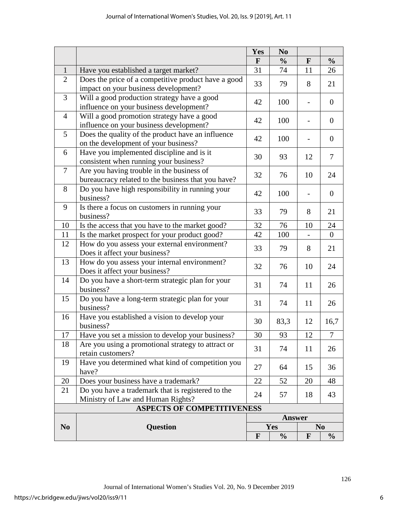|                                   |                                                                                                 | N <sub>0</sub><br>Yes |               |              |                  |
|-----------------------------------|-------------------------------------------------------------------------------------------------|-----------------------|---------------|--------------|------------------|
|                                   |                                                                                                 | $\mathbf{F}$          | $\frac{0}{0}$ | $\mathbf{F}$ | $\frac{0}{0}$    |
| $\mathbf{1}$                      | Have you established a target market?                                                           | 31                    | 74            | 11           | 26               |
| $\overline{2}$                    | Does the price of a competitive product have a good<br>impact on your business development?     | 33                    | 79            | 8            | 21               |
| 3                                 | Will a good production strategy have a good<br>influence on your business development?          | 42                    | 100           |              | $\overline{0}$   |
| $\overline{4}$                    | Will a good promotion strategy have a good<br>influence on your business development?           | 42                    | 100           |              | $\overline{0}$   |
| 5                                 | Does the quality of the product have an influence<br>on the development of your business?       | 42                    | 100           |              | $\boldsymbol{0}$ |
| 6                                 | Have you implemented discipline and is it<br>consistent when running your business?             | 30                    | 93            | 12           | $\tau$           |
| 7                                 | Are you having trouble in the business of<br>bureaucracy related to the business that you have? | 32                    | 76            | 10           | 24               |
| 8                                 | Do you have high responsibility in running your<br>business?                                    | 42                    | 100           |              | $\boldsymbol{0}$ |
| 9                                 | Is there a focus on customers in running your<br>business?                                      | 33                    | 79            | 8            | 21               |
| 10                                | Is the access that you have to the market good?                                                 | 32                    | 76            | 10           | 24               |
| 11                                | Is the market prospect for your product good?                                                   | 42                    | 100           |              | $\overline{0}$   |
| 12                                | How do you assess your external environment?<br>Does it affect your business?                   | 33                    | 79            | 8            | 21               |
| 13                                | How do you assess your internal environment?<br>Does it affect your business?                   | 32                    | 76            | 10           | 24               |
| 14                                | Do you have a short-term strategic plan for your<br>business?                                   | 31                    | 74            | 11           | 26               |
| 15                                | Do you have a long-term strategic plan for your<br>business?                                    | 31                    | 74            | 11           | 26               |
| 16                                | Have you established a vision to develop your<br>business?                                      | 30                    | 83,3          | 12           | 16,7             |
| 17                                | Have you set a mission to develop your business?                                                | 30                    | 93            | 12           | 7                |
| 18                                | Are you using a promotional strategy to attract or<br>retain customers?                         | 31                    | 74            | 11           | 26               |
| 19                                | Have you determined what kind of competition you<br>have?                                       | 27                    | 64            | 15           | 36               |
| 20                                | Does your business have a trademark?                                                            | 22                    | 52            | 20           | 48               |
| 21                                | Do you have a trademark that is registered to the                                               | 24                    | 57            | 18           | 43               |
|                                   | Ministry of Law and Human Rights?                                                               |                       |               |              |                  |
| <b>ASPECTS OF COMPETITIVENESS</b> |                                                                                                 |                       |               |              |                  |
|                                   | <b>Question</b>                                                                                 | <b>Answer</b>         |               |              |                  |
| N <sub>0</sub>                    |                                                                                                 |                       | Yes           |              | N <sub>0</sub>   |
|                                   |                                                                                                 | $\mathbf{F}$          | $\frac{0}{0}$ | $\mathbf{F}$ | $\frac{0}{0}$    |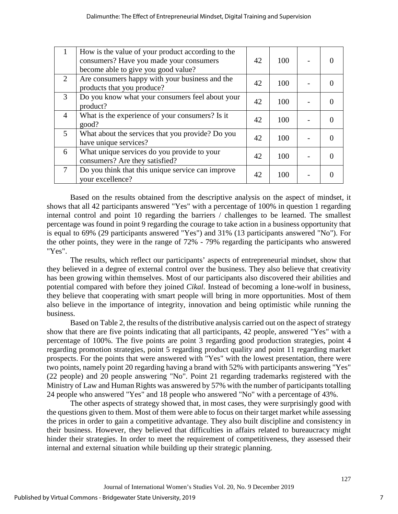|                | How is the value of your product according to the<br>consumers? Have you made your consumers<br>become able to give you good value? | 42 | 100 |  |
|----------------|-------------------------------------------------------------------------------------------------------------------------------------|----|-----|--|
| 2              | Are consumers happy with your business and the<br>products that you produce?                                                        | 42 | 100 |  |
| 3              | Do you know what your consumers feel about your<br>product?                                                                         | 42 | 100 |  |
| $\overline{4}$ | What is the experience of your consumers? Is it<br>good?                                                                            | 42 | 100 |  |
| $\mathfrak{S}$ | What about the services that you provide? Do you<br>have unique services?                                                           | 42 | 100 |  |
| 6              | What unique services do you provide to your<br>consumers? Are they satisfied?                                                       | 42 | 100 |  |
| $\overline{7}$ | Do you think that this unique service can improve<br>your excellence?                                                               | 42 | 100 |  |

Based on the results obtained from the descriptive analysis on the aspect of mindset, it shows that all 42 participants answered "Yes" with a percentage of 100% in question 1 regarding internal control and point 10 regarding the barriers / challenges to be learned. The smallest percentage was found in point 9 regarding the courage to take action in a business opportunity that is equal to 69% (29 participants answered "Yes") and 31% (13 participants answered "No"). For the other points, they were in the range of 72% - 79% regarding the participants who answered "Yes".

The results, which reflect our participants' aspects of entrepreneurial mindset, show that they believed in a degree of external control over the business. They also believe that creativity has been growing within themselves. Most of our participants also discovered their abilities and potential compared with before they joined *Cikal*. Instead of becoming a lone-wolf in business, they believe that cooperating with smart people will bring in more opportunities. Most of them also believe in the importance of integrity, innovation and being optimistic while running the business.

Based on Table 2, the results of the distributive analysis carried out on the aspect of strategy show that there are five points indicating that all participants, 42 people, answered "Yes" with a percentage of 100%. The five points are point 3 regarding good production strategies, point 4 regarding promotion strategies, point 5 regarding product quality and point 11 regarding market prospects. For the points that were answered with "Yes" with the lowest presentation, there were two points, namely point 20 regarding having a brand with 52% with participants answering "Yes" (22 people) and 20 people answering "No". Point 21 regarding trademarks registered with the Ministry of Law and Human Rights was answered by 57% with the number of participants totalling 24 people who answered "Yes" and 18 people who answered "No" with a percentage of 43%.

The other aspects of strategy showed that, in most cases, they were surprisingly good with the questions given to them. Most of them were able to focus on their target market while assessing the prices in order to gain a competitive advantage. They also built discipline and consistency in their business. However, they believed that difficulties in affairs related to bureaucracy might hinder their strategies. In order to meet the requirement of competitiveness, they assessed their internal and external situation while building up their strategic planning.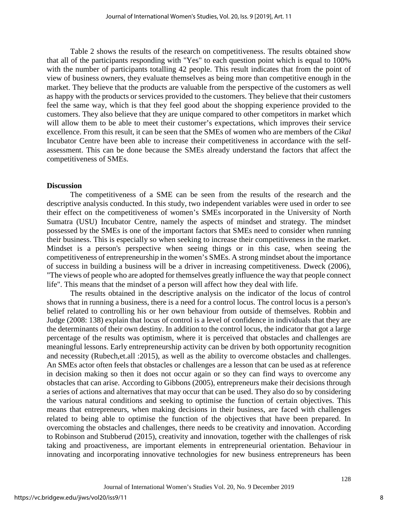Table 2 shows the results of the research on competitiveness. The results obtained show that all of the participants responding with "Yes" to each question point which is equal to 100% with the number of participants totalling 42 people. This result indicates that from the point of view of business owners, they evaluate themselves as being more than competitive enough in the market. They believe that the products are valuable from the perspective of the customers as well as happy with the products or services provided to the customers. They believe that their customers feel the same way, which is that they feel good about the shopping experience provided to the customers. They also believe that they are unique compared to other competitors in market which will allow them to be able to meet their customer's expectations, which improves their service excellence. From this result, it can be seen that the SMEs of women who are members of the *Cikal* Incubator Centre have been able to increase their competitiveness in accordance with the selfassessment. This can be done because the SMEs already understand the factors that affect the competitiveness of SMEs.

#### **Discussion**

The competitiveness of a SME can be seen from the results of the research and the descriptive analysis conducted. In this study, two independent variables were used in order to see their effect on the competitiveness of women's SMEs incorporated in the University of North Sumatra (USU) Incubator Centre, namely the aspects of mindset and strategy. The mindset possessed by the SMEs is one of the important factors that SMEs need to consider when running their business. This is especially so when seeking to increase their competitiveness in the market. Mindset is a person's perspective when seeing things or in this case, when seeing the competitiveness of entrepreneurship in the women's SMEs. A strong mindset about the importance of success in building a business will be a driver in increasing competitiveness. Dweck (2006), "The views of people who are adopted for themselves greatly influence the way that people connect life". This means that the mindset of a person will affect how they deal with life.

The results obtained in the descriptive analysis on the indicator of the locus of control shows that in running a business, there is a need for a control locus. The control locus is a person's belief related to controlling his or her own behaviour from outside of themselves. Robbin and Judge (2008: 138) explain that locus of control is a level of confidence in individuals that they are the determinants of their own destiny. In addition to the control locus, the indicator that got a large percentage of the results was optimism, where it is perceived that obstacles and challenges are meaningful lessons. Early entrepreneurship activity can be driven by both opportunity recognition and necessity (Rubech,et.all :2015), as well as the ability to overcome obstacles and challenges. An SMEs actor often feels that obstacles or challenges are a lesson that can be used as at reference in decision making so then it does not occur again or so they can find ways to overcome any obstacles that can arise. According to Gibbons (2005), entrepreneurs make their decisions through a series of actions and alternatives that may occur that can be used. They also do so by considering the various natural conditions and seeking to optimise the function of certain objectives. This means that entrepreneurs, when making decisions in their business, are faced with challenges related to being able to optimise the function of the objectives that have been prepared. In overcoming the obstacles and challenges, there needs to be creativity and innovation. According to Robinson and Stubberud (2015), creativity and innovation, together with the challenges of risk taking and proactiveness, are important elements in entrepreneurial orientation. Behaviour in innovating and incorporating innovative technologies for new business entrepreneurs has been

8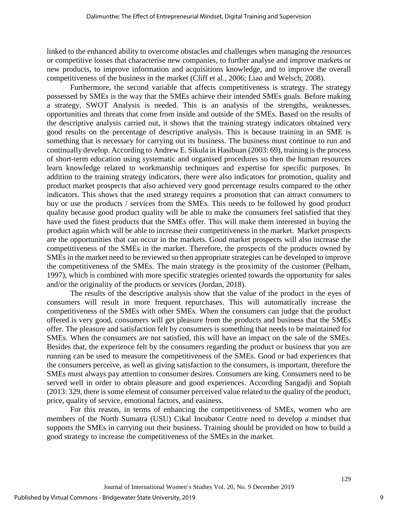linked to the enhanced ability to overcome obstacles and challenges when managing the resources or competitive losses that characterise new companies, to further analyse and improve markets or new products, to improve information and acquisitions knowledge, and to improve the overall competitiveness of the business in the market (Cliff et al., 2006; Liao and Welsch, 2008).

Furthermore, the second variable that affects competitiveness is strategy. The strategy possessed by SMEs is the way that the SMEs achieve their intended SMEs goals. Before making a strategy, SWOT Analysis is needed. This is an analysis of the strengths, weaknesses, opportunities and threats that come from inside and outside of the SMEs. Based on the results of the descriptive analysis carried out, it shows that the training strategy indicators obtained very good results on the percentage of descriptive analysis. This is because training in an SME is something that is necessary for carrying out its business. The business must continue to run and continually develop. According to Andrew E. Sikula in Hasibuan (2003: 69), training is the process of short-term education using systematic and organised procedures so then the human resources learn knowledge related to workmanship techniques and expertise for specific purposes. In addition to the training strategy indicators, there were also indicators for promotion, quality and product market prospects that also achieved very good percentage results compared to the other indicators. This shows that the used strategy requires a promotion that can attract consumers to buy or use the products / services from the SMEs. This needs to be followed by good product quality because good product quality will be able to make the consumers feel satisfied that they have used the finest products that the SMEs offer. This will make them interested in buying the product again which will be able to increase their competitiveness in the market. Market prospects are the opportunities that can occur in the markets. Good market prospects will also increase the competitiveness of the SMEs in the market. Therefore, the prospects of the products owned by SMEs in the market need to be reviewed so then appropriate strategies can be developed to improve the competitiveness of the SMEs. The main strategy is the proximity of the customer (Pelham, 1997), which is combined with more specific strategies oriented towards the opportunity for sales and/or the originality of the products or services (Jordan, 2018).

The results of the descriptive analysis show that the value of the product in the eyes of consumers will result in more frequent repurchases. This will automatically increase the competitiveness of the SMEs with other SMEs. When the consumers can judge that the product offered is very good, consumers will get pleasure from the products and business that the SMEs offer. The pleasure and satisfaction felt by consumers is something that needs to be maintained for SMEs. When the consumers are not satisfied, this will have an impact on the sale of the SMEs. Besides that, the experience felt by the consumers regarding the product or business that you are running can be used to measure the competitiveness of the SMEs. Good or bad experiences that the consumers perceive, as well as giving satisfaction to the consumers, is important, therefore the SMEs must always pay attention to consumer desires. Consumers are king. Consumers need to be served well in order to obtain pleasure and good experiences. According Sangadji and Sopiah (2013: 329, there is some element of consumer perceived value related to the quality of the product, price, quality of service, emotional factors, and easiness.

For this reason, in terms of enhancing the competitiveness of SMEs, women who are members of the North Sumatra (USU) Cikal Incubator Centre need to develop a mindset that supports the SMEs in carrying out their business. Training should be provided on how to build a good strategy to increase the competitiveness of the SMEs in the market.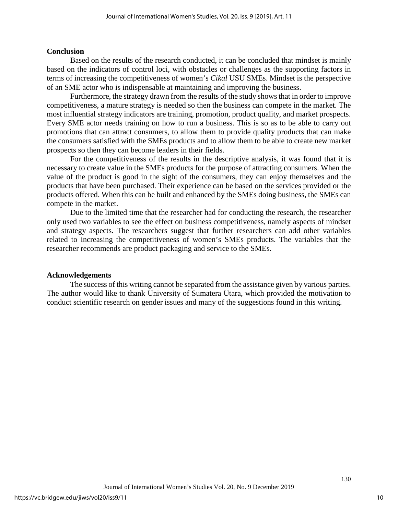## **Conclusion**

Based on the results of the research conducted, it can be concluded that mindset is mainly based on the indicators of control loci, with obstacles or challenges as the supporting factors in terms of increasing the competitiveness of women's *Cikal* USU SMEs. Mindset is the perspective of an SME actor who is indispensable at maintaining and improving the business.

Furthermore, the strategy drawn from the results of the study shows that in order to improve competitiveness, a mature strategy is needed so then the business can compete in the market. The most influential strategy indicators are training, promotion, product quality, and market prospects. Every SME actor needs training on how to run a business. This is so as to be able to carry out promotions that can attract consumers, to allow them to provide quality products that can make the consumers satisfied with the SMEs products and to allow them to be able to create new market prospects so then they can become leaders in their fields.

For the competitiveness of the results in the descriptive analysis, it was found that it is necessary to create value in the SMEs products for the purpose of attracting consumers. When the value of the product is good in the sight of the consumers, they can enjoy themselves and the products that have been purchased. Their experience can be based on the services provided or the products offered. When this can be built and enhanced by the SMEs doing business, the SMEs can compete in the market.

Due to the limited time that the researcher had for conducting the research, the researcher only used two variables to see the effect on business competitiveness, namely aspects of mindset and strategy aspects. The researchers suggest that further researchers can add other variables related to increasing the competitiveness of women's SMEs products. The variables that the researcher recommends are product packaging and service to the SMEs.

## **Acknowledgements**

The success of this writing cannot be separated from the assistance given by various parties. The author would like to thank University of Sumatera Utara, which provided the motivation to conduct scientific research on gender issues and many of the suggestions found in this writing.